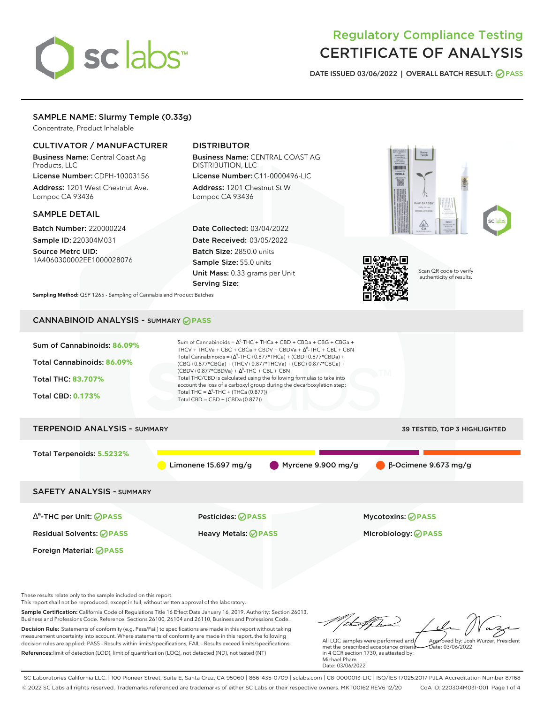# sclabs

# Regulatory Compliance Testing CERTIFICATE OF ANALYSIS

**DATE ISSUED 03/06/2022 | OVERALL BATCH RESULT: PASS**

# SAMPLE NAME: Slurmy Temple (0.33g)

Concentrate, Product Inhalable

#### CULTIVATOR / MANUFACTURER

Business Name: Central Coast Ag Products, LLC License Number: CDPH-10003156

Address: 1201 West Chestnut Ave. Lompoc CA 93436

#### SAMPLE DETAIL

Batch Number: 220000224 Sample ID: 220304M031

Source Metrc UID: 1A4060300002EE1000028076

# DISTRIBUTOR

Business Name: CENTRAL COAST AG DISTRIBUTION, LLC License Number: C11-0000496-LIC

Address: 1201 Chestnut St W Lompoc CA 93436

Date Collected: 03/04/2022 Date Received: 03/05/2022 Batch Size: 2850.0 units Sample Size: 55.0 units Unit Mass: 0.33 grams per Unit Serving Size:







Scan QR code to verify authenticity of results.

**Sampling Method:** QSP 1265 - Sampling of Cannabis and Product Batches

# CANNABINOID ANALYSIS - SUMMARY **PASS**



These results relate only to the sample included on this report.

This report shall not be reproduced, except in full, without written approval of the laboratory.

Sample Certification: California Code of Regulations Title 16 Effect Date January 16, 2019. Authority: Section 26013, Business and Professions Code. Reference: Sections 26100, 26104 and 26110, Business and Professions Code. Decision Rule: Statements of conformity (e.g. Pass/Fail) to specifications are made in this report without taking measurement uncertainty into account. Where statements of conformity are made in this report, the following decision rules are applied: PASS - Results within limits/specifications, FAIL - Results exceed limits/specifications.

References:limit of detection (LOD), limit of quantification (LOQ), not detected (ND), not tested (NT)

tu#f h Approved by: Josh Wurzer, President

 $\frac{1}{2}$  03/06/2022

All LQC samples were performed and met the prescribed acceptance criteria in 4 CCR section 1730, as attested by: Michael Pham Date: 03/06/2022

SC Laboratories California LLC. | 100 Pioneer Street, Suite E, Santa Cruz, CA 95060 | 866-435-0709 | sclabs.com | C8-0000013-LIC | ISO/IES 17025:2017 PJLA Accreditation Number 87168 © 2022 SC Labs all rights reserved. Trademarks referenced are trademarks of either SC Labs or their respective owners. MKT00162 REV6 12/20 CoA ID: 220304M031-001 Page 1 of 4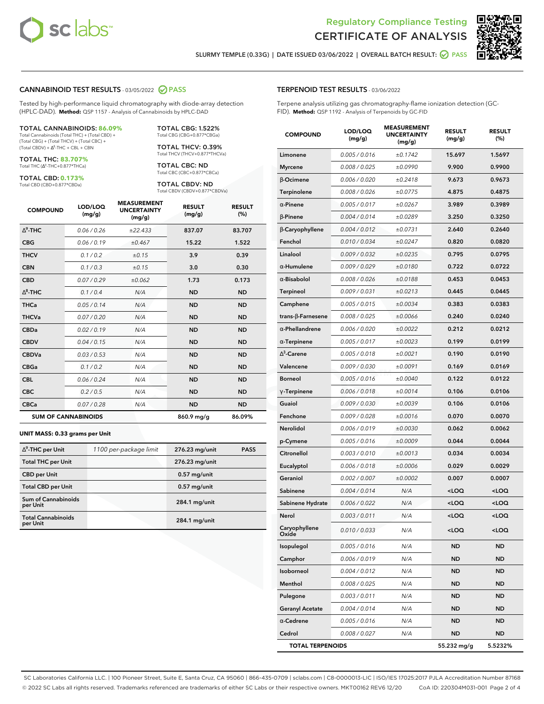



**SLURMY TEMPLE (0.33G) | DATE ISSUED 03/06/2022 | OVERALL BATCH RESULT: PASS**

#### **CANNABINOID TEST RESULTS** - 03/05/2022 **PASS**

Tested by high-performance liquid chromatography with diode-array detection (HPLC-DAD). **Method:** QSP 1157 - Analysis of Cannabinoids by HPLC-DAD

#### TOTAL CANNABINOIDS: **86.09%**

Total Cannabinoids (Total THC) + (Total CBD) + (Total CBG) + (Total THCV) + (Total CBC) +  $(Total CBDV) +  $\Delta^8$ -THC + CBL + CBN$ 

TOTAL THC: **83.707%** Total THC (Δ<sup>9</sup>-THC+0.877\*THCa)

TOTAL CBD: **0.173%**

Total CBD (CBD+0.877\*CBDa)

TOTAL CBG: 1.522% Total CBG (CBG+0.877\*CBGa)

TOTAL THCV: 0.39% Total THCV (THCV+0.877\*THCVa)

TOTAL CBC: ND Total CBC (CBC+0.877\*CBCa)

TOTAL CBDV: ND Total CBDV (CBDV+0.877\*CBDVa)

| <b>COMPOUND</b> | LOD/LOQ<br>(mg/g)          | <b>MEASUREMENT</b><br><b>UNCERTAINTY</b><br>(mg/g) | <b>RESULT</b><br>(mg/g) | <b>RESULT</b><br>(%) |
|-----------------|----------------------------|----------------------------------------------------|-------------------------|----------------------|
| $\wedge^9$ -THC | 0.06 / 0.26                | ±22.433                                            | 837.07                  | 83.707               |
| <b>CBG</b>      | 0.06/0.19                  | ±0.467                                             | 15.22                   | 1.522                |
| <b>THCV</b>     | 0.1 / 0.2                  | ±0.15                                              | 3.9                     | 0.39                 |
| <b>CBN</b>      | 0.1/0.3                    | ±0.15                                              | 3.0                     | 0.30                 |
| <b>CBD</b>      | 0.07/0.29                  | ±0.062                                             | 1.73                    | 0.173                |
| $\Delta^8$ -THC | 0.1/0.4                    | N/A                                                | <b>ND</b>               | <b>ND</b>            |
| <b>THCa</b>     | 0.05/0.14                  | N/A                                                | <b>ND</b>               | <b>ND</b>            |
| <b>THCVa</b>    | 0.07/0.20                  | N/A                                                | <b>ND</b>               | <b>ND</b>            |
| <b>CBDa</b>     | 0.02/0.19                  | N/A                                                | <b>ND</b>               | <b>ND</b>            |
| <b>CBDV</b>     | 0.04 / 0.15                | N/A                                                | <b>ND</b>               | <b>ND</b>            |
| <b>CBDVa</b>    | 0.03/0.53                  | N/A                                                | <b>ND</b>               | <b>ND</b>            |
| <b>CBGa</b>     | 0.1/0.2                    | N/A                                                | <b>ND</b>               | <b>ND</b>            |
| <b>CBL</b>      | 0.06 / 0.24                | N/A                                                | <b>ND</b>               | <b>ND</b>            |
| <b>CBC</b>      | 0.2 / 0.5                  | N/A                                                | <b>ND</b>               | <b>ND</b>            |
| <b>CBCa</b>     | 0.07/0.28                  | N/A                                                | <b>ND</b>               | <b>ND</b>            |
|                 | <b>SUM OF CANNABINOIDS</b> |                                                    | 860.9 mg/g              | 86.09%               |

#### **UNIT MASS: 0.33 grams per Unit**

| $\Delta^9$ -THC per Unit               | 1100 per-package limit | 276.23 mg/unit  | <b>PASS</b> |
|----------------------------------------|------------------------|-----------------|-------------|
| <b>Total THC per Unit</b>              |                        | 276.23 mg/unit  |             |
| <b>CBD</b> per Unit                    |                        | $0.57$ mg/unit  |             |
| <b>Total CBD per Unit</b>              |                        | $0.57$ mg/unit  |             |
| <b>Sum of Cannabinoids</b><br>per Unit |                        | 284.1 mg/unit   |             |
| <b>Total Cannabinoids</b><br>per Unit  |                        | $284.1$ mg/unit |             |

| <b>COMPOUND</b>         | LOD/LOQ<br>(mg/g) | 、SUKEIV<br><b>UNCERTAINTY</b><br>(mg/g) | <b>RESULT</b><br>(mg/g)                         | <b>RESULT</b><br>$(\%)$ |
|-------------------------|-------------------|-----------------------------------------|-------------------------------------------------|-------------------------|
| Limonene                | 0.005 / 0.016     | ±0.1742                                 | 15.697                                          | 1.5697                  |
| <b>Myrcene</b>          | 0.008 / 0.025     | ±0.0990                                 | 9.900                                           | 0.9900                  |
| <b>B-Ocimene</b>        | 0.006 / 0.020     | ±0.2418                                 | 9.673                                           | 0.9673                  |
| Terpinolene             | 0.008 / 0.026     | ±0.0775                                 | 4.875                                           | 0.4875                  |
| $\alpha$ -Pinene        | 0.005 / 0.017     | ±0.0267                                 | 3.989                                           | 0.3989                  |
| $\beta$ -Pinene         | 0.004 / 0.014     | ±0.0289                                 | 3.250                                           | 0.3250                  |
| β-Caryophyllene         | 0.004 / 0.012     | ±0.0731                                 | 2.640                                           | 0.2640                  |
| Fenchol                 | 0.010 / 0.034     | ±0.0247                                 | 0.820                                           | 0.0820                  |
| Linalool                | 0.009 / 0.032     | ±0.0235                                 | 0.795                                           | 0.0795                  |
| $\alpha$ -Humulene      | 0.009/0.029       | ±0.0180                                 | 0.722                                           | 0.0722                  |
| $\alpha$ -Bisabolol     | 0.008 / 0.026     | ±0.0188                                 | 0.453                                           | 0.0453                  |
| <b>Terpineol</b>        | 0.009 / 0.031     | ±0.0213                                 | 0.445                                           | 0.0445                  |
| Camphene                | 0.005 / 0.015     | ±0.0034                                 | 0.383                                           | 0.0383                  |
| trans-ß-Farnesene       | 0.008 / 0.025     | ±0.0066                                 | 0.240                                           | 0.0240                  |
| $\alpha$ -Phellandrene  | 0.006 / 0.020     | ±0.0022                                 | 0.212                                           | 0.0212                  |
| $\alpha$ -Terpinene     | 0.005 / 0.017     | ±0.0023                                 | 0.199                                           | 0.0199                  |
| $\Delta^3$ -Carene      | 0.005 / 0.018     | ±0.0021                                 | 0.190                                           | 0.0190                  |
| Valencene               | 0.009 / 0.030     | ±0.0091                                 | 0.169                                           | 0.0169                  |
| <b>Borneol</b>          | 0.005 / 0.016     | ±0.0040                                 | 0.122                                           | 0.0122                  |
| $\gamma$ -Terpinene     | 0.006 / 0.018     | ±0.0014                                 | 0.106                                           | 0.0106                  |
| Guaiol                  | 0.009 / 0.030     | ±0.0039                                 | 0.106                                           | 0.0106                  |
| Fenchone                | 0.009 / 0.028     | ±0.0016                                 | 0.070                                           | 0.0070                  |
| Nerolidol               | 0.006 / 0.019     | ±0.0030                                 | 0.062                                           | 0.0062                  |
| p-Cymene                | 0.005 / 0.016     | ±0.0009                                 | 0.044                                           | 0.0044                  |
| Citronellol             | 0.003 / 0.010     | ±0.0013                                 | 0.034                                           | 0.0034                  |
| Eucalyptol              | 0.006 / 0.018     | ±0.0006                                 | 0.029                                           | 0.0029                  |
| Geraniol                | 0.002 / 0.007     | ±0.0002                                 | 0.007                                           | 0.0007                  |
| Sabinene                | 0.004 / 0.014     | N/A                                     | <loq< th=""><th><loq< th=""></loq<></th></loq<> | <loq< th=""></loq<>     |
| Sabinene Hydrate        | 0.006 / 0.022     | N/A                                     | <loq< th=""><th><loq< th=""></loq<></th></loq<> | <loq< th=""></loq<>     |
| Nerol                   | 0.003 / 0.011     | N/A                                     | <loq< th=""><th><loq< th=""></loq<></th></loq<> | <loq< th=""></loq<>     |
| Caryophyllene<br>Oxide  | 0.010 / 0.033     | N/A                                     | <loq< th=""><th><loq< th=""></loq<></th></loq<> | <loq< th=""></loq<>     |
| Isopulegol              | 0.005 / 0.016     | N/A                                     | ND                                              | <b>ND</b>               |
| Camphor                 | 0.006 / 0.019     | N/A                                     | ND                                              | <b>ND</b>               |
| Isoborneol              | 0.004 / 0.012     | N/A                                     | ND                                              | ND                      |
| Menthol                 | 0.008 / 0.025     | N/A                                     | ND                                              | <b>ND</b>               |
| Pulegone                | 0.003 / 0.011     | N/A                                     | ND                                              | <b>ND</b>               |
| <b>Geranyl Acetate</b>  | 0.004 / 0.014     | N/A                                     | ND                                              | ND                      |
| $\alpha$ -Cedrene       | 0.005 / 0.016     | N/A                                     | ND                                              | ND                      |
| Cedrol                  | 0.008 / 0.027     | N/A                                     | ND                                              | <b>ND</b>               |
| <b>TOTAL TERPENOIDS</b> |                   |                                         | 55.232 mg/g                                     | 5.5232%                 |

SC Laboratories California LLC. | 100 Pioneer Street, Suite E, Santa Cruz, CA 95060 | 866-435-0709 | sclabs.com | C8-0000013-LIC | ISO/IES 17025:2017 PJLA Accreditation Number 87168 © 2022 SC Labs all rights reserved. Trademarks referenced are trademarks of either SC Labs or their respective owners. MKT00162 REV6 12/20 CoA ID: 220304M031-001 Page 2 of 4

# **TERPENOID TEST RESULTS** - 03/06/2022

Terpene analysis utilizing gas chromatography-flame ionization detection (GC-FID). **Method:** QSP 1192 - Analysis of Terpenoids by GC-FID

**MEASUREMENT**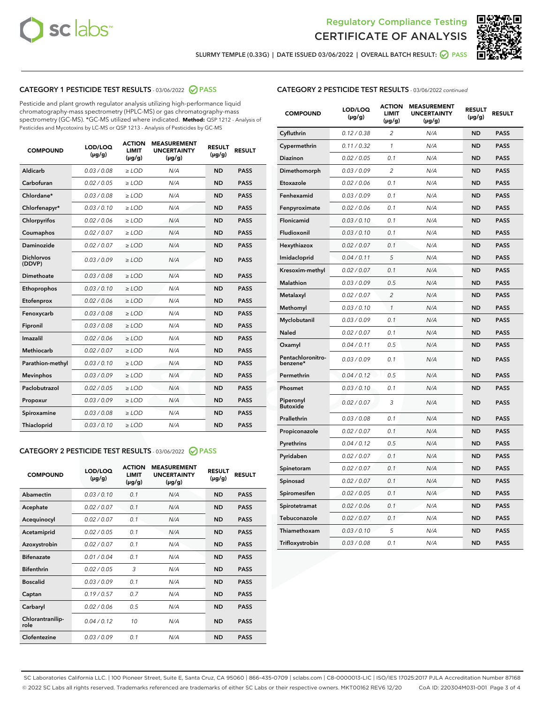



**SLURMY TEMPLE (0.33G) | DATE ISSUED 03/06/2022 | OVERALL BATCH RESULT: PASS**

# **CATEGORY 1 PESTICIDE TEST RESULTS** - 03/06/2022 **PASS**

Pesticide and plant growth regulator analysis utilizing high-performance liquid chromatography-mass spectrometry (HPLC-MS) or gas chromatography-mass spectrometry (GC-MS). \*GC-MS utilized where indicated. **Method:** QSP 1212 - Analysis of Pesticides and Mycotoxins by LC-MS or QSP 1213 - Analysis of Pesticides by GC-MS

| 0.03 / 0.08<br><b>ND</b><br>Aldicarb<br>$\ge$ LOD<br>N/A<br><b>PASS</b><br>Carbofuran<br>0.02 / 0.05<br><b>ND</b><br><b>PASS</b><br>$\ge$ LOD<br>N/A<br>Chlordane*<br>0.03 / 0.08<br>N/A<br><b>ND</b><br><b>PASS</b><br>$\ge$ LOD<br>Chlorfenapyr*<br>0.03/0.10<br><b>ND</b><br><b>PASS</b><br>$\ge$ LOD<br>N/A<br>Chlorpyrifos<br>0.02/0.06<br>$>$ LOD<br>N/A<br><b>ND</b><br><b>PASS</b><br>0.02 / 0.07<br>N/A<br><b>ND</b><br><b>PASS</b><br>Coumaphos<br>$\ge$ LOD<br>Daminozide<br>0.02 / 0.07<br>N/A<br><b>ND</b><br><b>PASS</b><br>$\ge$ LOD<br><b>Dichlorvos</b><br>0.03/0.09<br>N/A<br><b>ND</b><br><b>PASS</b><br>$\ge$ LOD<br>(DDVP)<br>Dimethoate<br>0.03/0.08<br>N/A<br><b>ND</b><br><b>PASS</b><br>$>$ LOD<br>Ethoprophos<br>0.03/0.10<br>$\ge$ LOD<br>N/A<br><b>ND</b><br><b>PASS</b><br>Etofenprox<br>0.02 / 0.06<br>N/A<br><b>ND</b><br><b>PASS</b><br>$>$ LOD<br>0.03/0.08<br>N/A<br><b>ND</b><br><b>PASS</b><br>Fenoxycarb<br>$>$ LOD<br>0.03 / 0.08<br>$\ge$ LOD<br>N/A<br><b>ND</b><br><b>PASS</b><br>Fipronil<br>Imazalil<br>0.02/0.06<br>$>$ LOD<br>N/A<br><b>ND</b><br><b>PASS</b><br><b>Methiocarb</b><br>0.02 / 0.07<br><b>ND</b><br><b>PASS</b><br>$\ge$ LOD<br>N/A<br>0.03/0.10<br>N/A<br><b>ND</b><br><b>PASS</b><br>Parathion-methyl<br>$\ge$ LOD<br>0.03/0.09<br>N/A<br><b>PASS</b><br>$>$ LOD<br><b>ND</b><br><b>Mevinphos</b><br>Paclobutrazol<br>0.02 / 0.05<br>N/A<br><b>ND</b><br><b>PASS</b><br>$\ge$ LOD<br>0.03/0.09<br>$>$ LOD<br>N/A<br><b>ND</b><br><b>PASS</b><br>Propoxur<br>0.03 / 0.08<br>$\ge$ LOD<br>N/A<br><b>ND</b><br><b>PASS</b><br>Spiroxamine<br>0.03/0.10<br><b>ND</b><br><b>PASS</b><br>Thiacloprid<br>$\ge$ LOD<br>N/A | <b>COMPOUND</b> | LOD/LOQ<br>$(\mu g/g)$ | <b>ACTION</b><br>LIMIT<br>$(\mu g/g)$ | <b>MEASUREMENT</b><br><b>UNCERTAINTY</b><br>$(\mu g/g)$ | <b>RESULT</b><br>$(\mu g/g)$ | <b>RESULT</b> |
|---------------------------------------------------------------------------------------------------------------------------------------------------------------------------------------------------------------------------------------------------------------------------------------------------------------------------------------------------------------------------------------------------------------------------------------------------------------------------------------------------------------------------------------------------------------------------------------------------------------------------------------------------------------------------------------------------------------------------------------------------------------------------------------------------------------------------------------------------------------------------------------------------------------------------------------------------------------------------------------------------------------------------------------------------------------------------------------------------------------------------------------------------------------------------------------------------------------------------------------------------------------------------------------------------------------------------------------------------------------------------------------------------------------------------------------------------------------------------------------------------------------------------------------------------------------------------------------------------------------------------------------------------------------------------------|-----------------|------------------------|---------------------------------------|---------------------------------------------------------|------------------------------|---------------|
|                                                                                                                                                                                                                                                                                                                                                                                                                                                                                                                                                                                                                                                                                                                                                                                                                                                                                                                                                                                                                                                                                                                                                                                                                                                                                                                                                                                                                                                                                                                                                                                                                                                                                 |                 |                        |                                       |                                                         |                              |               |
|                                                                                                                                                                                                                                                                                                                                                                                                                                                                                                                                                                                                                                                                                                                                                                                                                                                                                                                                                                                                                                                                                                                                                                                                                                                                                                                                                                                                                                                                                                                                                                                                                                                                                 |                 |                        |                                       |                                                         |                              |               |
|                                                                                                                                                                                                                                                                                                                                                                                                                                                                                                                                                                                                                                                                                                                                                                                                                                                                                                                                                                                                                                                                                                                                                                                                                                                                                                                                                                                                                                                                                                                                                                                                                                                                                 |                 |                        |                                       |                                                         |                              |               |
|                                                                                                                                                                                                                                                                                                                                                                                                                                                                                                                                                                                                                                                                                                                                                                                                                                                                                                                                                                                                                                                                                                                                                                                                                                                                                                                                                                                                                                                                                                                                                                                                                                                                                 |                 |                        |                                       |                                                         |                              |               |
|                                                                                                                                                                                                                                                                                                                                                                                                                                                                                                                                                                                                                                                                                                                                                                                                                                                                                                                                                                                                                                                                                                                                                                                                                                                                                                                                                                                                                                                                                                                                                                                                                                                                                 |                 |                        |                                       |                                                         |                              |               |
|                                                                                                                                                                                                                                                                                                                                                                                                                                                                                                                                                                                                                                                                                                                                                                                                                                                                                                                                                                                                                                                                                                                                                                                                                                                                                                                                                                                                                                                                                                                                                                                                                                                                                 |                 |                        |                                       |                                                         |                              |               |
|                                                                                                                                                                                                                                                                                                                                                                                                                                                                                                                                                                                                                                                                                                                                                                                                                                                                                                                                                                                                                                                                                                                                                                                                                                                                                                                                                                                                                                                                                                                                                                                                                                                                                 |                 |                        |                                       |                                                         |                              |               |
|                                                                                                                                                                                                                                                                                                                                                                                                                                                                                                                                                                                                                                                                                                                                                                                                                                                                                                                                                                                                                                                                                                                                                                                                                                                                                                                                                                                                                                                                                                                                                                                                                                                                                 |                 |                        |                                       |                                                         |                              |               |
|                                                                                                                                                                                                                                                                                                                                                                                                                                                                                                                                                                                                                                                                                                                                                                                                                                                                                                                                                                                                                                                                                                                                                                                                                                                                                                                                                                                                                                                                                                                                                                                                                                                                                 |                 |                        |                                       |                                                         |                              |               |
|                                                                                                                                                                                                                                                                                                                                                                                                                                                                                                                                                                                                                                                                                                                                                                                                                                                                                                                                                                                                                                                                                                                                                                                                                                                                                                                                                                                                                                                                                                                                                                                                                                                                                 |                 |                        |                                       |                                                         |                              |               |
|                                                                                                                                                                                                                                                                                                                                                                                                                                                                                                                                                                                                                                                                                                                                                                                                                                                                                                                                                                                                                                                                                                                                                                                                                                                                                                                                                                                                                                                                                                                                                                                                                                                                                 |                 |                        |                                       |                                                         |                              |               |
|                                                                                                                                                                                                                                                                                                                                                                                                                                                                                                                                                                                                                                                                                                                                                                                                                                                                                                                                                                                                                                                                                                                                                                                                                                                                                                                                                                                                                                                                                                                                                                                                                                                                                 |                 |                        |                                       |                                                         |                              |               |
|                                                                                                                                                                                                                                                                                                                                                                                                                                                                                                                                                                                                                                                                                                                                                                                                                                                                                                                                                                                                                                                                                                                                                                                                                                                                                                                                                                                                                                                                                                                                                                                                                                                                                 |                 |                        |                                       |                                                         |                              |               |
|                                                                                                                                                                                                                                                                                                                                                                                                                                                                                                                                                                                                                                                                                                                                                                                                                                                                                                                                                                                                                                                                                                                                                                                                                                                                                                                                                                                                                                                                                                                                                                                                                                                                                 |                 |                        |                                       |                                                         |                              |               |
|                                                                                                                                                                                                                                                                                                                                                                                                                                                                                                                                                                                                                                                                                                                                                                                                                                                                                                                                                                                                                                                                                                                                                                                                                                                                                                                                                                                                                                                                                                                                                                                                                                                                                 |                 |                        |                                       |                                                         |                              |               |
|                                                                                                                                                                                                                                                                                                                                                                                                                                                                                                                                                                                                                                                                                                                                                                                                                                                                                                                                                                                                                                                                                                                                                                                                                                                                                                                                                                                                                                                                                                                                                                                                                                                                                 |                 |                        |                                       |                                                         |                              |               |
|                                                                                                                                                                                                                                                                                                                                                                                                                                                                                                                                                                                                                                                                                                                                                                                                                                                                                                                                                                                                                                                                                                                                                                                                                                                                                                                                                                                                                                                                                                                                                                                                                                                                                 |                 |                        |                                       |                                                         |                              |               |
|                                                                                                                                                                                                                                                                                                                                                                                                                                                                                                                                                                                                                                                                                                                                                                                                                                                                                                                                                                                                                                                                                                                                                                                                                                                                                                                                                                                                                                                                                                                                                                                                                                                                                 |                 |                        |                                       |                                                         |                              |               |
|                                                                                                                                                                                                                                                                                                                                                                                                                                                                                                                                                                                                                                                                                                                                                                                                                                                                                                                                                                                                                                                                                                                                                                                                                                                                                                                                                                                                                                                                                                                                                                                                                                                                                 |                 |                        |                                       |                                                         |                              |               |
|                                                                                                                                                                                                                                                                                                                                                                                                                                                                                                                                                                                                                                                                                                                                                                                                                                                                                                                                                                                                                                                                                                                                                                                                                                                                                                                                                                                                                                                                                                                                                                                                                                                                                 |                 |                        |                                       |                                                         |                              |               |
|                                                                                                                                                                                                                                                                                                                                                                                                                                                                                                                                                                                                                                                                                                                                                                                                                                                                                                                                                                                                                                                                                                                                                                                                                                                                                                                                                                                                                                                                                                                                                                                                                                                                                 |                 |                        |                                       |                                                         |                              |               |

# **CATEGORY 2 PESTICIDE TEST RESULTS** - 03/06/2022 **PASS**

| <b>COMPOUND</b>          | LOD/LOO<br>$(\mu g/g)$ | <b>ACTION</b><br><b>LIMIT</b><br>(µg/g) | <b>MEASUREMENT</b><br><b>UNCERTAINTY</b><br>$(\mu g/g)$ | <b>RESULT</b><br>$(\mu g/g)$ | <b>RESULT</b> |  |
|--------------------------|------------------------|-----------------------------------------|---------------------------------------------------------|------------------------------|---------------|--|
| Abamectin                | 0.03/0.10              | 0.1                                     | N/A                                                     | <b>ND</b>                    | <b>PASS</b>   |  |
| Acephate                 | 0.02/0.07              | 0.1                                     | N/A                                                     | <b>ND</b>                    | <b>PASS</b>   |  |
| Acequinocyl              | 0.02/0.07              | 0.1                                     | N/A                                                     | <b>ND</b>                    | <b>PASS</b>   |  |
| Acetamiprid              | 0.02/0.05              | 0.1                                     | N/A                                                     | <b>ND</b>                    | <b>PASS</b>   |  |
| Azoxystrobin             | 0.02/0.07              | 0.1                                     | N/A                                                     | <b>ND</b>                    | <b>PASS</b>   |  |
| <b>Bifenazate</b>        | 0.01/0.04              | 0.1                                     | N/A                                                     | <b>ND</b>                    | <b>PASS</b>   |  |
| <b>Bifenthrin</b>        | 0.02/0.05              | 3                                       | N/A                                                     | <b>ND</b>                    | <b>PASS</b>   |  |
| <b>Boscalid</b>          | 0.03/0.09              | 0.1                                     | N/A                                                     | <b>ND</b>                    | <b>PASS</b>   |  |
| Captan                   | 0.19/0.57              | 0.7                                     | N/A                                                     | <b>ND</b>                    | <b>PASS</b>   |  |
| Carbaryl                 | 0.02/0.06              | 0.5                                     | N/A                                                     | <b>ND</b>                    | <b>PASS</b>   |  |
| Chlorantranilip-<br>role | 0.04/0.12              | 10                                      | N/A                                                     | <b>ND</b>                    | <b>PASS</b>   |  |
| Clofentezine             | 0.03/0.09              | 0.1                                     | N/A                                                     | <b>ND</b>                    | <b>PASS</b>   |  |

#### **CATEGORY 2 PESTICIDE TEST RESULTS** - 03/06/2022 continued

| <b>COMPOUND</b>               | LOD/LOQ<br>(µg/g) | <b>ACTION</b><br><b>LIMIT</b><br>(µg/g) | <b>MEASUREMENT</b><br><b>UNCERTAINTY</b><br>$(\mu g/g)$ | <b>RESULT</b><br>(µg/g) | <b>RESULT</b> |
|-------------------------------|-------------------|-----------------------------------------|---------------------------------------------------------|-------------------------|---------------|
| Cyfluthrin                    | 0.12 / 0.38       | $\overline{c}$                          | N/A                                                     | ND                      | <b>PASS</b>   |
| Cypermethrin                  | 0.11 / 0.32       | $\mathcal{I}$                           | N/A                                                     | ND                      | <b>PASS</b>   |
| <b>Diazinon</b>               | 0.02 / 0.05       | 0.1                                     | N/A                                                     | <b>ND</b>               | <b>PASS</b>   |
| Dimethomorph                  | 0.03 / 0.09       | 2                                       | N/A                                                     | ND                      | <b>PASS</b>   |
| Etoxazole                     | 0.02 / 0.06       | 0.1                                     | N/A                                                     | ND                      | <b>PASS</b>   |
| Fenhexamid                    | 0.03 / 0.09       | 0.1                                     | N/A                                                     | <b>ND</b>               | <b>PASS</b>   |
| Fenpyroximate                 | 0.02 / 0.06       | 0.1                                     | N/A                                                     | <b>ND</b>               | <b>PASS</b>   |
| Flonicamid                    | 0.03 / 0.10       | 0.1                                     | N/A                                                     | <b>ND</b>               | <b>PASS</b>   |
| Fludioxonil                   | 0.03 / 0.10       | 0.1                                     | N/A                                                     | <b>ND</b>               | <b>PASS</b>   |
| Hexythiazox                   | 0.02 / 0.07       | 0.1                                     | N/A                                                     | <b>ND</b>               | <b>PASS</b>   |
| Imidacloprid                  | 0.04 / 0.11       | 5                                       | N/A                                                     | <b>ND</b>               | <b>PASS</b>   |
| Kresoxim-methyl               | 0.02 / 0.07       | 0.1                                     | N/A                                                     | ND                      | <b>PASS</b>   |
| Malathion                     | 0.03 / 0.09       | 0.5                                     | N/A                                                     | <b>ND</b>               | <b>PASS</b>   |
| Metalaxyl                     | 0.02 / 0.07       | $\overline{c}$                          | N/A                                                     | <b>ND</b>               | <b>PASS</b>   |
| Methomyl                      | 0.03 / 0.10       | $\mathcal{I}$                           | N/A                                                     | ND                      | <b>PASS</b>   |
| Myclobutanil                  | 0.03 / 0.09       | 0.1                                     | N/A                                                     | <b>ND</b>               | <b>PASS</b>   |
| Naled                         | 0.02 / 0.07       | 0.1                                     | N/A                                                     | ND                      | <b>PASS</b>   |
| Oxamyl                        | 0.04 / 0.11       | 0.5                                     | N/A                                                     | ND                      | <b>PASS</b>   |
| Pentachloronitro-<br>benzene* | 0.03 / 0.09       | 0.1                                     | N/A                                                     | ND                      | <b>PASS</b>   |
| Permethrin                    | 0.04 / 0.12       | 0.5                                     | N/A                                                     | <b>ND</b>               | <b>PASS</b>   |
| Phosmet                       | 0.03 / 0.10       | 0.1                                     | N/A                                                     | ND                      | <b>PASS</b>   |
| Piperonyl<br><b>Butoxide</b>  | 0.02 / 0.07       | 3                                       | N/A                                                     | <b>ND</b>               | <b>PASS</b>   |
| Prallethrin                   | 0.03 / 0.08       | 0.1                                     | N/A                                                     | <b>ND</b>               | <b>PASS</b>   |
| Propiconazole                 | 0.02 / 0.07       | 0.1                                     | N/A                                                     | <b>ND</b>               | <b>PASS</b>   |
| Pyrethrins                    | 0.04 / 0.12       | 0.5                                     | N/A                                                     | <b>ND</b>               | <b>PASS</b>   |
| Pyridaben                     | 0.02 / 0.07       | 0.1                                     | N/A                                                     | <b>ND</b>               | <b>PASS</b>   |
| Spinetoram                    | 0.02 / 0.07       | 0.1                                     | N/A                                                     | <b>ND</b>               | <b>PASS</b>   |
| Spinosad                      | 0.02 / 0.07       | 0.1                                     | N/A                                                     | ND                      | <b>PASS</b>   |
| Spiromesifen                  | 0.02 / 0.05       | 0.1                                     | N/A                                                     | <b>ND</b>               | <b>PASS</b>   |
| Spirotetramat                 | 0.02 / 0.06       | 0.1                                     | N/A                                                     | <b>ND</b>               | <b>PASS</b>   |
| Tebuconazole                  | 0.02 / 0.07       | 0.1                                     | N/A                                                     | ND                      | <b>PASS</b>   |
| Thiamethoxam                  | 0.03 / 0.10       | 5                                       | N/A                                                     | <b>ND</b>               | <b>PASS</b>   |
| Trifloxystrobin               | 0.03 / 0.08       | 0.1                                     | N/A                                                     | <b>ND</b>               | <b>PASS</b>   |

SC Laboratories California LLC. | 100 Pioneer Street, Suite E, Santa Cruz, CA 95060 | 866-435-0709 | sclabs.com | C8-0000013-LIC | ISO/IES 17025:2017 PJLA Accreditation Number 87168 © 2022 SC Labs all rights reserved. Trademarks referenced are trademarks of either SC Labs or their respective owners. MKT00162 REV6 12/20 CoA ID: 220304M031-001 Page 3 of 4